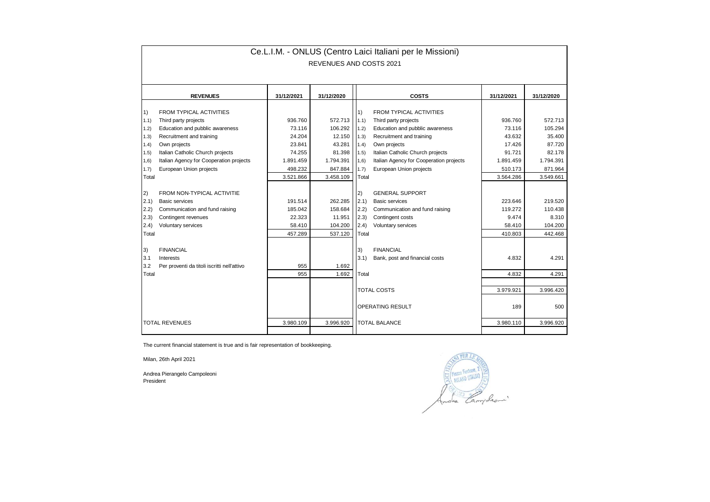| Ce.L.I.M. - ONLUS (Centro Laici Italiani per le Missioni) |                                             |            |            |                                               |                                         |            |            |  |  |  |  |  |
|-----------------------------------------------------------|---------------------------------------------|------------|------------|-----------------------------------------------|-----------------------------------------|------------|------------|--|--|--|--|--|
| REVENUES AND COSTS 2021                                   |                                             |            |            |                                               |                                         |            |            |  |  |  |  |  |
|                                                           |                                             |            |            |                                               |                                         |            |            |  |  |  |  |  |
|                                                           | <b>REVENUES</b>                             | 31/12/2021 | 31/12/2020 |                                               | <b>COSTS</b>                            | 31/12/2021 | 31/12/2020 |  |  |  |  |  |
|                                                           |                                             |            |            |                                               |                                         |            |            |  |  |  |  |  |
| $\left( \begin{matrix} 1 \end{matrix} \right)$            | <b>FROM TYPICAL ACTIVITIES</b>              |            |            | $\vert$ 1)                                    | <b>FROM TYPICAL ACTIVITIES</b>          |            |            |  |  |  |  |  |
| 1.1)                                                      | Third party projects                        | 936.760    | 572.713    | 1.1)                                          | Third party projects                    | 936.760    | 572.713    |  |  |  |  |  |
| 1.2)                                                      | Education and pubblic awareness             | 73.116     | 106.292    | 1.2)                                          | Education and pubblic awareness         | 73.116     | 105.294    |  |  |  |  |  |
| 1.3)                                                      | Recruitment and training                    | 24.204     | 12.150     | 1.3)                                          | Recruitment and training                | 43.632     | 35.400     |  |  |  |  |  |
| 1.4)                                                      | Own projects                                | 23.841     | 43.281     | 1.4)                                          | Own projects                            | 17.426     | 87.720     |  |  |  |  |  |
| 1.5)                                                      | Italian Catholic Church projects            | 74.255     | 81.398     | (1.5)                                         | Italian Catholic Church projects        | 91.721     | 82.178     |  |  |  |  |  |
| 1,6)                                                      | Italian Agency for Cooperation projects     | 1.891.459  | 1.794.391  | 1,6)                                          | Italian Agency for Cooperation projects | 1.891.459  | 1.794.391  |  |  |  |  |  |
| 1.7)                                                      | European Union projects                     | 498.232    | 847.884    | 1.7)                                          | European Union projects                 | 510.173    | 871.964    |  |  |  |  |  |
| Total                                                     |                                             | 3.521.866  | 3.458.109  | Total                                         |                                         | 3.564.286  | 3.549.661  |  |  |  |  |  |
|                                                           |                                             |            |            |                                               |                                         |            |            |  |  |  |  |  |
| (2)                                                       | FROM NON-TYPICAL ACTIVITIE                  |            |            | (2)                                           | <b>GENERAL SUPPORT</b>                  |            |            |  |  |  |  |  |
| 2.1)                                                      | <b>Basic services</b>                       | 191.514    | 262.285    | (2.1)                                         | <b>Basic services</b>                   | 223.646    | 219.520    |  |  |  |  |  |
| 2.2)                                                      | Communication and fund raising              | 185.042    | 158.684    | 2.2)                                          | Communication and fund raising          | 119,272    | 110.438    |  |  |  |  |  |
| 2.3)                                                      | Contingent revenues                         | 22.323     | 11.951     | (2.3)                                         | Contingent costs                        | 9.474      | 8.310      |  |  |  |  |  |
| (2.4)                                                     | Voluntary services                          | 58.410     | 104.200    | (2.4)                                         | Voluntary services                      | 58.410     | 104.200    |  |  |  |  |  |
| Total                                                     |                                             | 457.289    | 537.120    | Total                                         |                                         | 410.803    | 442.468    |  |  |  |  |  |
|                                                           |                                             |            |            |                                               |                                         |            |            |  |  |  |  |  |
| 3)                                                        | <b>FINANCIAL</b>                            |            |            | 3)                                            | <b>FINANCIAL</b>                        |            |            |  |  |  |  |  |
| 3.1                                                       | Interests                                   |            |            | 3.1)                                          | Bank, post and financial costs          | 4.832      | 4.291      |  |  |  |  |  |
| 3.2                                                       | Per proventi da titoli iscritti nell'attivo | 955        | 1.692      |                                               |                                         |            |            |  |  |  |  |  |
| Total                                                     |                                             | 955        | 1.692      | Total                                         |                                         | 4.832      | 4.291      |  |  |  |  |  |
|                                                           |                                             |            |            |                                               |                                         |            |            |  |  |  |  |  |
|                                                           |                                             |            |            | <b>TOTAL COSTS</b><br><b>OPERATING RESULT</b> |                                         | 3.979.921  | 3.996.420  |  |  |  |  |  |
|                                                           |                                             |            |            |                                               |                                         | 189        | 500        |  |  |  |  |  |
|                                                           |                                             |            |            |                                               |                                         |            |            |  |  |  |  |  |
| <b>TOTAL REVENUES</b>                                     |                                             | 3.980.109  | 3.996.920  | <b>TOTAL BALANCE</b><br>3.980.110             |                                         | 3.996.920  |            |  |  |  |  |  |
|                                                           |                                             |            |            |                                               |                                         |            |            |  |  |  |  |  |

The current financial statement is true and is fair representation of bookkeeping.

Milan, 26th April 2021

Andrea Pierangelo Campoleoni President

FORD PER LA ANDRE CONTROLLER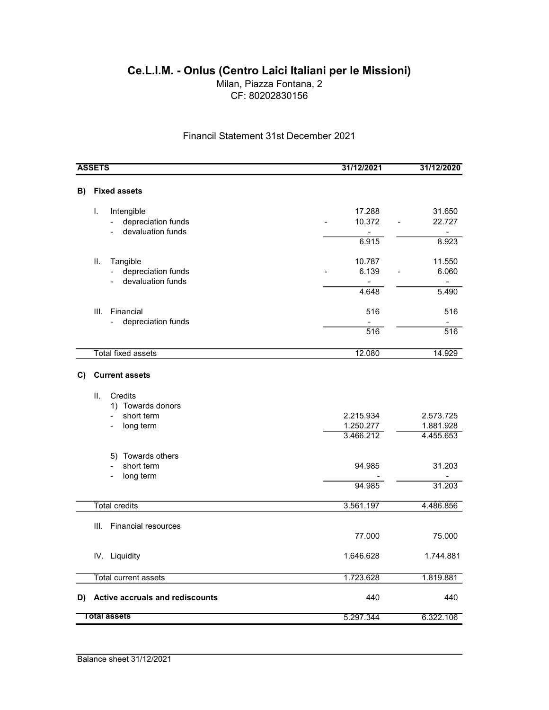## Ce.L.I.M. - Onlus (Centro Laici Italiani per le Missioni)

Milan, Piazza Fontana, 2 CF: 80202830156

Financil Statement 31st December 2021

| <b>ASSETS</b>                         |                                                                                  | 31/12/2021                                                | 31/12/2020                                           |
|---------------------------------------|----------------------------------------------------------------------------------|-----------------------------------------------------------|------------------------------------------------------|
| B)                                    | <b>Fixed assets</b>                                                              |                                                           |                                                      |
| I.<br>$\overline{\phantom{a}}$        | Intengible<br>depreciation funds<br>devaluation funds                            | 17.288<br>10.372<br>$\qquad \qquad \blacksquare$<br>6.915 | 31.650<br>22.727<br>$\blacksquare$<br>8.923          |
| ΙΙ.<br>$\overline{\phantom{a}}$       | Tangible<br>depreciation funds<br>devaluation funds                              | 10.787<br>6.139<br>$\blacksquare$<br>4.648                | 11.550<br>6.060<br>$\overline{\phantom{a}}$<br>5.490 |
| III.                                  | Financial<br>depreciation funds                                                  | 516<br>$\overline{516}$                                   | 516<br>516                                           |
|                                       | <b>Total fixed assets</b>                                                        | 12.080                                                    | 14.929                                               |
| C)<br>ΙΙ.<br>$\overline{\phantom{0}}$ | <b>Current assets</b><br>Credits<br>1) Towards donors<br>short term<br>long term | 2.215.934<br>1.250.277<br>3.466.212                       | 2.573.725<br>1.881.928<br>4.455.653                  |
| $\overline{a}$                        | 5) Towards others<br>short term<br>long term                                     | 94.985<br>94.985                                          | 31.203<br>31.203                                     |
|                                       | <b>Total credits</b>                                                             | 3.561.197                                                 | 4.486.856                                            |
| III.                                  | <b>Financial resources</b>                                                       | 77.000                                                    | 75.000                                               |
|                                       | IV. Liquidity                                                                    | 1.646.628                                                 | 1.744.881                                            |
|                                       | <b>Total current assets</b>                                                      | 1.723.628                                                 | 1.819.881                                            |
| D)                                    | Active accruals and rediscounts                                                  | 440                                                       | 440                                                  |
| <b>Total assets</b>                   |                                                                                  | 5.297.344                                                 | 6.322.106                                            |